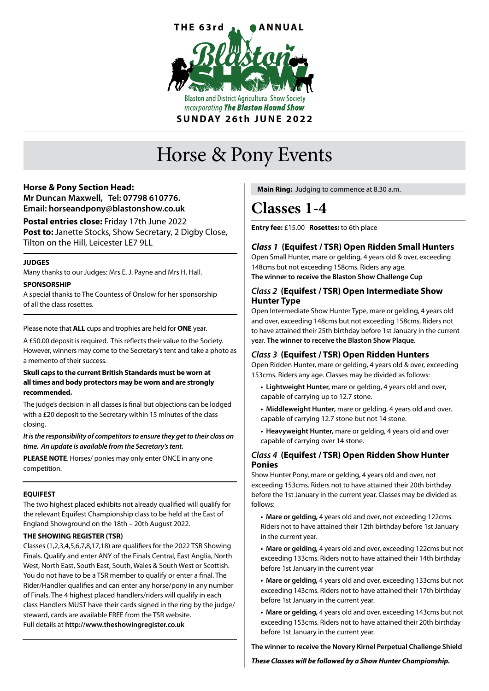

# Horse & Pony Events

### **Horse & Pony Section Head:**

**Mr Duncan Maxwell, Tel: 07798 610776. Email: horseandpony@blastonshow.co.uk**

**Postal entries close:** Friday 17th June 2022 **Post to:** Janette Stocks, Show Secretary, 2 Digby Close, Tilton on the Hill, Leicester LE7 9LL

### **JUDGES**

Many thanks to our Judges: Mrs E. J. Payne and Mrs H. Hall.

#### **SPONSORSHIP**

A special thanks to The Countess of Onslow for her sponsorship of all the class rosettes.

#### Please note that **ALL** cups and trophies are held for **ONE** year.

A £50.00 deposit is required. This reflects their value to the Society. However, winners may come to the Secretary's tent and take a photo as a memento of their success.

#### **Skull caps to the current British Standards must be worn at all times and body protectors may be worn and are strongly recommended.**

The judge's decision in all classes is final but objections can be lodged with a £20 deposit to the Secretary within 15 minutes of the class closing.

#### *It is the responsibility of competitors to ensure they get to their class on time. An update is available from the Secretary's tent.*

**PLEASE NOTE**. Horses/ ponies may only enter ONCE in any one competition.

### **EQUIFEST**

The two highest placed exhibits not already qualified will qualify for the relevant Equifest Championship class to be held at the East of England Showground on the 18th – 20th August 2022.

### **THE SHOWING REGISTER (TSR)**

Classes (1,2,3,4,5,6,7,8,17,18) are qualifiers for the 2022 TSR Showing Finals. Qualify and enter ANY of the Finals Central, East Anglia, North West, North East, South East, South, Wales & South West or Scottish. You do not have to be a TSR member to qualify or enter a final. The Rider/Handler qualifies and can enter any horse/pony in any number of Finals. The 4 highest placed handlers/riders will qualify in each class Handlers MUST have their cards signed in the ring by the judge/ steward, cards are available FREE from the TSR website. Full details at **http://www.theshowingregister.co.uk**

 **Main Ring:** Judging to commence at 8.30 a.m.

# **Classes 1-4**

**Entry fee:** £15.00 **Rosettes:** to 6th place

# *Class 1* **(Equifest / TSR) Open Ridden Small Hunters**

Open Small Hunter, mare or gelding, 4 years old & over, exceeding 148cms but not exceeding 158cms. Riders any age. **The winner to receive the Blaston Show Challenge Cup**

### *Class 2* **(Equifest / TSR) Open Intermediate Show Hunter Type**

Open Intermediate Show Hunter Type, mare or gelding, 4 years old and over, exceeding 148cms but not exceeding 158cms. Riders not to have attained their 25th birthday before 1st January in the current year. **The winner to receive the Blaston Show Plaque.**

# *Class 3* **(Equifest / TSR) Open Ridden Hunters**

Open Ridden Hunter, mare or gelding, 4 years old & over, exceeding 153cms. Riders any age. Classes may be divided as follows:

- **Lightweight Hunter,** mare or gelding, 4 years old and over, capable of carrying up to 12.7 stone.
- **Middleweight Hunter,** mare or gelding, 4 years old and over, capable of carrying 12.7 stone but not 14 stone.
- **Heavyweight Hunter,** mare or gelding, 4 years old and over capable of carrying over 14 stone.

### *Class 4* **(Equifest / TSR) Open Ridden Show Hunter Ponies**

Show Hunter Pony, mare or gelding, 4 years old and over, not exceeding 153cms. Riders not to have attained their 20th birthday before the 1st January in the current year. Classes may be divided as follows:

**• Mare or gelding,** 4 years old and over, not exceeding 122cms. Riders not to have attained their 12th birthday before 1st January in the current year.

**• Mare or gelding,** 4 years old and over, exceeding 122cms but not exceeding 133cms. Riders not to have attained their 14th birthday before 1st January in the current year

**• Mare or gelding,** 4 years old and over, exceeding 133cms but not exceeding 143cms. Riders not to have attained their 17th birthday before 1st January in the current year.

**• Mare or gelding,** 4 years old and over, exceeding 143cms but not exceeding 153cms. Riders not to have attained their 20th birthday before 1st January in the current year.

**The winner to receive the Novery Kirnel Perpetual Challenge Shield** 

*These Classes will be followed by a Show Hunter Championship.*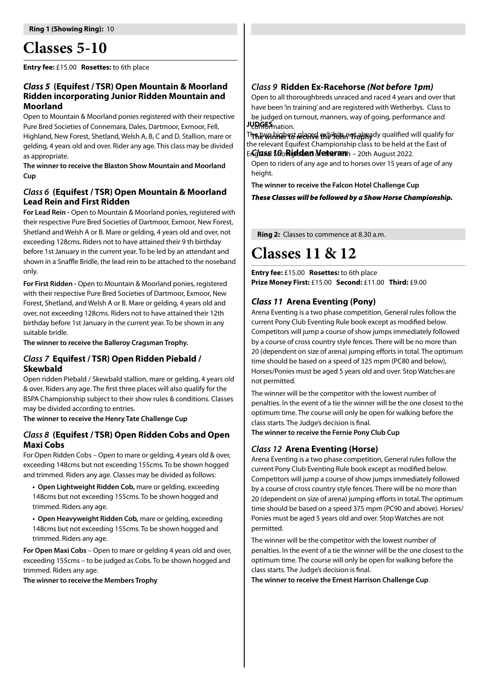# **Classes 5-10**

**Entry fee:** £15.00 **Rosettes:** to 6th place

### *Class 5* **(Equifest / TSR) Open Mountain & Moorland Ridden incorporating Junior Ridden Mountain and Moorland**

Open to Mountain & Moorland ponies registered with their respective Pure Bred Societies of Connemara, Dales, Dartmoor, Exmoor, Fell, Highland, New Forest, Shetland, Welsh A, B, C and D. Stallion, mare or gelding, 4 years old and over. Rider any age. This class may be divided as appropriate.

**The winner to receive the Blaston Show Mountain and Moorland Cup**

### *Class 6* **(Equifest / TSR) Open Mountain & Moorland Lead Rein and First Ridden**

**For Lead Rein -** Open to Mountain & Moorland ponies, registered with their respective Pure Bred Societies of Dartmoor, Exmoor, New Forest, Shetland and Welsh A or B. Mare or gelding, 4 years old and over, not exceeding 128cms. Riders not to have attained their 9 th birthday before 1st January in the current year. To be led by an attendant and shown in a Snaffle Bridle, the lead rein to be attached to the noseband only.

**For First Ridden -** Open to Mountain & Moorland ponies, registered with their respective Pure Bred Societies of Dartmoor, Exmoor, New Forest, Shetland, and Welsh A or B. Mare or gelding, 4 years old and over, not exceeding 128cms. Riders not to have attained their 12th birthday before 1st January in the current year. To be shown in any suitable bridle.

**The winner to receive the Balleroy Cragsman Trophy.**

### *Class 7* **Equifest / TSR) Open Ridden Piebald / Skewbald**

Open ridden Piebald / Skewbald stallion, mare or gelding, 4 years old & over. Riders any age. The first three places will also qualify for the BSPA Championship subject to their show rules & conditions. Classes may be divided according to entries.

**The winner to receive the Henry Tate Challenge Cup**

### *Class 8* **(Equifest / TSR) Open Ridden Cobs and Open Maxi Cobs**

For Open Ridden Cobs – Open to mare or gelding, 4 years old & over, exceeding 148cms but not exceeding 155cms. To be shown hogged and trimmed. Riders any age. Classes may be divided as follows:

**• Open Lightweight Ridden Cob,** mare or gelding, exceeding

148cms but not exceeding 155cms. To be shown hogged and trimmed. Riders any age.

**• Open Heavyweight Ridden Cob,** mare or gelding, exceeding 148cms but not exceeding 155cms. To be shown hogged and trimmed. Riders any age.

**For Open Maxi Cobs** – Open to mare or gelding 4 years old and over, exceeding 155cms – to be judged as Cobs. To be shown hogged and trimmed. Riders any age.

**The winner to receive the Members Trophy**

### *Class 9* **Ridden Ex-Racehorse** *(Not before 1pm)*

Open to all thoroughbreds unraced and raced 4 years and over that have been 'in training' and are registered with Wetherbys. Class to be judged on turnout, manners, way of going, performance and JUDGES mation.

**The winner to receive the 'John' Trophy** The two highest placed exhibits not already qualified will qualify for Englass *10***Ridden Veteran**h - 20th August 2022. the relevant Equifest Championship class to be held at the East of

Open to riders of any age and to horses over 15 years of age of any height.

**The winner to receive the Falcon Hotel Challenge Cup**

*These Classes will be followed by a Show Horse Championship.*

 **Ring 2:** Classes to commence at 8.30 a.m.

# **Classes 11 & 12**

**Entry fee:** £15.00 **Rosettes:** to 6th place **Prize Money First:** £15.00 **Second:** £11.00 **Third:** £9.00

# *Class 11* **Arena Eventing (Pony)**

Arena Eventing is a two phase competition, General rules follow the current Pony Club Eventing Rule book except as modified below. Competitors will jump a course of show jumps immediately followed by a course of cross country style fences. There will be no more than 20 (dependent on size of arena) jumping efforts in total. The optimum time should be based on a speed of 325 mpm (PC80 and below), Horses/Ponies must be aged 5 years old and over. Stop Watches are not permitted.

The winner will be the competitor with the lowest number of penalties. In the event of a tie the winner will be the one closest to the optimum time. The course will only be open for walking before the class starts. The Judge's decision is final.

**The winner to receive the Fernie Pony Club Cup**

# *Class 12* **Arena Eventing (Horse)**

Arena Eventing is a two phase competition, General rules follow the current Pony Club Eventing Rule book except as modified below. Competitors will jump a course of show jumps immediately followed by a course of cross country style fences. There will be no more than 20 (dependent on size of arena) jumping efforts in total. The optimum time should be based on a speed 375 mpm (PC90 and above). Horses/ Ponies must be aged 5 years old and over. Stop Watches are not permitted.

The winner will be the competitor with the lowest number of penalties. In the event of a tie the winner will be the one closest to the optimum time. The course will only be open for walking before the class starts. The Judge's decision is final.

**The winner to receive the Ernest Harrison Challenge Cup**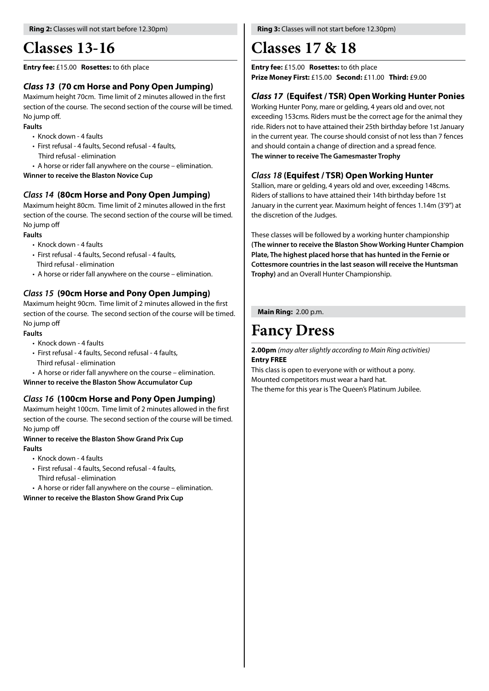# **Classes 13-16**

#### **Entry fee:** £15.00 **Rosettes:** to 6th place

# *Class 13* **(70 cm Horse and Pony Open Jumping)**

Maximum height 70cm. Time limit of 2 minutes allowed in the first section of the course. The second section of the course will be timed. No jump off.

### **Faults**

- Knock down 4 faults
- First refusal 4 faults, Second refusal 4 faults, Third refusal - elimination
- A horse or rider fall anywhere on the course elimination.

**Winner to receive the Blaston Novice Cup**

# *Class 14* **(80cm Horse and Pony Open Jumping)**

Maximum height 80cm. Time limit of 2 minutes allowed in the first section of the course. The second section of the course will be timed. No jump off

### **Faults**

- Knock down 4 faults
- First refusal 4 faults, Second refusal 4 faults,
- Third refusal elimination
- A horse or rider fall anywhere on the course elimination.

# *Class 15* **(90cm Horse and Pony Open Jumping)**

Maximum height 90cm. Time limit of 2 minutes allowed in the first section of the course. The second section of the course will be timed. No jump off

### **Faults**

- Knock down 4 faults
- First refusal 4 faults, Second refusal 4 faults,
	- Third refusal elimination
- A horse or rider fall anywhere on the course elimination.

**Winner to receive the Blaston Show Accumulator Cup**

# *Class 16* **(100cm Horse and Pony Open Jumping)**

Maximum height 100cm. Time limit of 2 minutes allowed in the first section of the course. The second section of the course will be timed. No jump off

### **Winner to receive the Blaston Show Grand Prix Cup Faults**

- Knock down 4 faults
- First refusal 4 faults, Second refusal 4 faults,
	- Third refusal elimination
- A horse or rider fall anywhere on the course elimination.

**Winner to receive the Blaston Show Grand Prix Cup**

# **Classes 17 & 18**

**Entry fee:** £15.00 **Rosettes:** to 6th place **Prize Money First:** £15.00 **Second:** £11.00 **Third:** £9.00

# *Class 17* **(Equifest / TSR) Open Working Hunter Ponies**

Working Hunter Pony, mare or gelding, 4 years old and over, not exceeding 153cms. Riders must be the correct age for the animal they ride. Riders not to have attained their 25th birthday before 1st January in the current year. The course should consist of not less than 7 fences and should contain a change of direction and a spread fence. **The winner to receive The Gamesmaster Trophy**

# *Class 18* **(Equifest / TSR) Open Working Hunter**

Stallion, mare or gelding, 4 years old and over, exceeding 148cms. Riders of stallions to have attained their 14th birthday before 1st January in the current year. Maximum height of fences 1.14m (3'9") at the discretion of the Judges.

These classes will be followed by a working hunter championship **(The winner to receive the Blaston Show Working Hunter Champion Plate, The highest placed horse that has hunted in the Fernie or Cottesmore countries in the last season will receive the Huntsman Trophy)** and an Overall Hunter Championship.

**Main Ring:** 2.00 p.m.

# **Fancy Dress**

**2.00pm** *(may alter slightly according to Main Ring activities)* **Entry FREE**

This class is open to everyone with or without a pony. Mounted competitors must wear a hard hat. The theme for this year is The Queen's Platinum Jubilee.